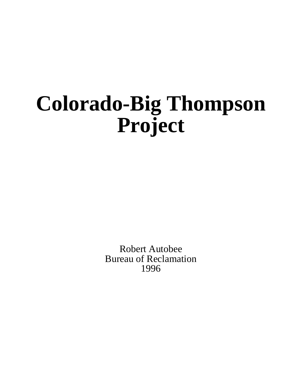# **Colorado-Big Thompson Project**

Robert Autobee Bureau of Reclamation 1996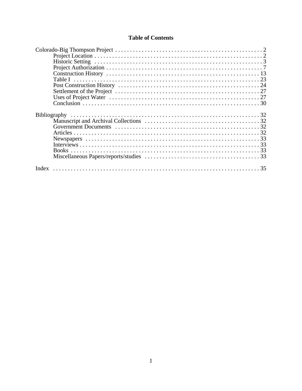# **Table of Contents**

| <b>Books</b> |  |
|--------------|--|
|              |  |
|              |  |
| Index        |  |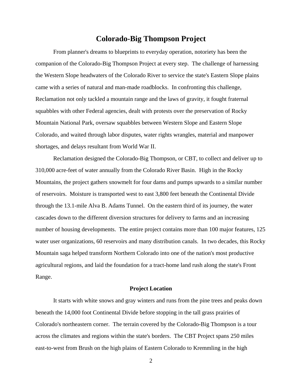# **Colorado-Big Thompson Project**

From planner's dreams to blueprints to everyday operation, notoriety has been the companion of the Colorado-Big Thompson Project at every step. The challenge of harnessing the Western Slope headwaters of the Colorado River to service the state's Eastern Slope plains came with a series of natural and man-made roadblocks. In confronting this challenge, Reclamation not only tackled a mountain range and the laws of gravity, it fought fraternal squabbles with other Federal agencies, dealt with protests over the preservation of Rocky Mountain National Park, oversaw squabbles between Western Slope and Eastern Slope Colorado, and waited through labor disputes, water rights wrangles, material and manpower shortages, and delays resultant from World War II.

Reclamation designed the Colorado-Big Thompson, or CBT, to collect and deliver up to 310,000 acre-feet of water annually from the Colorado River Basin. High in the Rocky Mountains, the project gathers snowmelt for four dams and pumps upwards to a similar number of reservoirs. Moisture is transported west to east 3,800 feet beneath the Continental Divide through the 13.1-mile Alva B. Adams Tunnel. On the eastern third of its journey, the water cascades down to the different diversion structures for delivery to farms and an increasing number of housing developments. The entire project contains more than 100 major features, 125 water user organizations, 60 reservoirs and many distribution canals. In two decades, this Rocky Mountain saga helped transform Northern Colorado into one of the nation's most productive agricultural regions, and laid the foundation for a tract-home land rush along the state's Front Range.

# **Project Location**

It starts with white snows and gray winters and runs from the pine trees and peaks down beneath the 14,000 foot Continental Divide before stopping in the tall grass prairies of Colorado's northeastern corner. The terrain covered by the Colorado-Big Thompson is a tour across the climates and regions within the state's borders. The CBT Project spans 250 miles east-to-west from Brush on the high plains of Eastern Colorado to Kremmling in the high

2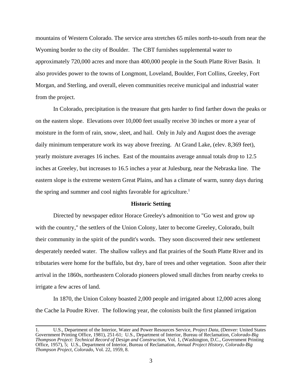mountains of Western Colorado. The service area stretches 65 miles north-to-south from near the Wyoming border to the city of Boulder. The CBT furnishes supplemental water to approximately 720,000 acres and more than 400,000 people in the South Platte River Basin. It also provides power to the towns of Longmont, Loveland, Boulder, Fort Collins, Greeley, Fort Morgan, and Sterling, and overall, eleven communities receive municipal and industrial water from the project.

In Colorado, precipitation is the treasure that gets harder to find farther down the peaks or on the eastern slope. Elevations over 10,000 feet usually receive 30 inches or more a year of moisture in the form of rain, snow, sleet, and hail. Only in July and August does the average daily minimum temperature work its way above freezing. At Grand Lake, (elev. 8,369 feet), yearly moisture averages 16 inches. East of the mountains average annual totals drop to 12.5 inches at Greeley, but increases to 16.5 inches a year at Julesburg, near the Nebraska line. The eastern slope is the extreme western Great Plains, and has a climate of warm, sunny days during the spring and summer and cool nights favorable for agriculture.<sup>1</sup>

# **Historic Setting**

Directed by newspaper editor Horace Greeley's admonition to "Go west and grow up with the country," the settlers of the Union Colony, later to become Greeley, Colorado, built their community in the spirit of the pundit's words. They soon discovered their new settlement desperately needed water. The shallow valleys and flat prairies of the South Platte River and its tributaries were home for the buffalo, but dry, bare of trees and other vegetation. Soon after their arrival in the 1860s, northeastern Colorado pioneers plowed small ditches from nearby creeks to irrigate a few acres of land.

In 1870, the Union Colony boasted 2,000 people and irrigated about 12,000 acres along the Cache la Poudre River. The following year, the colonists built the first planned irrigation

<sup>1.</sup> U.S., Department of the Interior, Water and Power Resources Service, *Project Data*, (Denver: United States Government Printing Office, 1981), 251-61; U.S., Department of Interior, Bureau of Reclamation, *Colorado-Big Thompson Project: Technical Record of Design and Construction*, Vol. 1, (Washington, D.C., Government Printing Office, 1957), 5; U.S., Department of Interior, Bureau of Reclamation, *Annual Project History, Colorado-Big Thompson Project, Colorado*, Vol. 22, 1959, 8.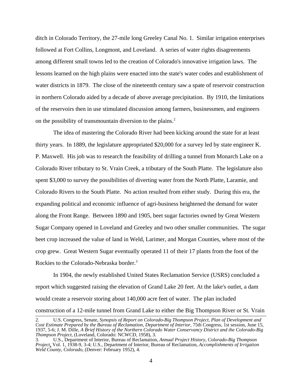ditch in Colorado Territory, the 27-mile long Greeley Canal No. 1. Similar irrigation enterprises followed at Fort Collins, Longmont, and Loveland. A series of water rights disagreements among different small towns led to the creation of Colorado's innovative irrigation laws. The lessons learned on the high plains were enacted into the state's water codes and establishment of water districts in 1879. The close of the nineteenth century saw a spate of reservoir construction in northern Colorado aided by a decade of above average precipitation. By 1910, the limitations of the reservoirs then in use stimulated discussion among farmers, businessmen, and engineers on the possibility of transmountain diversion to the plains.<sup>2</sup>

The idea of mastering the Colorado River had been kicking around the state for at least thirty years. In 1889, the legislature appropriated \$20,000 for a survey led by state engineer K. P. Maxwell. His job was to research the feasibility of drilling a tunnel from Monarch Lake on a Colorado River tributary to St. Vrain Creek, a tributary of the South Platte. The legislature also spent \$3,000 to survey the possibilities of diverting water from the North Platte, Laramie, and Colorado Rivers to the South Platte. No action resulted from either study. During this era, the expanding political and economic influence of agri-business heightened the demand for water along the Front Range. Between 1890 and 1905, beet sugar factories owned by Great Western Sugar Company opened in Loveland and Greeley and two other smaller communities. The sugar beet crop increased the value of land in Weld, Larimer, and Morgan Counties, where most of the crop grew. Great Western Sugar eventually operated 11 of their 17 plants from the foot of the Rockies to the Colorado-Nebraska border.<sup>3</sup>

In 1904, the newly established United States Reclamation Service (USRS) concluded a report which suggested raising the elevation of Grand Lake 20 feet. At the lake's outlet, a dam would create a reservoir storing about 140,000 acre feet of water. The plan included construction of a 12-mile tunnel from Grand Lake to either the Big Thompson River or St. Vrain

<sup>2.</sup> U.S. Congress, Senate, *Synopsis of Report on Colorado-Big Thompson Project, Plan of Development and Cost Estimate Prepared by the Bureau of Reclamation, Department of Interior*, 75th Congress, 1st session, June 15, 1937, 5-6; J. M. Dille, *A Brief History of the Northern Colorado Water Conservancy District and the Colorado-Big Thompson Project*, (Loveland, Colorado: NCWCD, 1958), 3.

<sup>3.</sup> U.S., Department of Interior, Bureau of Reclamation, *Annual Project History, Colorado-Big Thompson Project*, Vol. 1, 1938-9, 3-4; U.S., Department of Interior, Bureau of Reclamation, *Accomplishments of Irrigation Weld County, Colorado*, (Denver: February 1952), 4.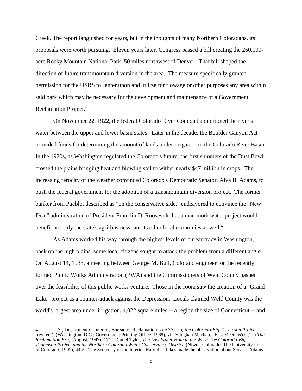Creek. The report languished for years, but in the thoughts of many Northern Coloradans, its proposals were worth pursuing. Eleven years later, Congress passed a bill creating the 260,000 acre Rocky Mountain National Park, 50 miles northwest of Denver. That bill shaped the direction of future transmountain diversion in the area. The measure specifically granted permission for the USRS to "enter upon and utilize for flowage or other purposes any area within said park which may be necessary for the development and maintenance of a Government Reclamation Project."

On November 22, 1922, the federal Colorado River Compact apportioned the river's water between the upper and lower basin states. Later in the decade, the Boulder Canyon Act provided funds for determining the amount of lands under irrigation in the Colorado River Basin. In the 1920s, as Washington regulated the Colorado's future, the first summers of the Dust Bowl crossed the plains bringing heat and blowing soil to wither nearly \$47 million in crops. The increasing ferocity of the weather convinced Colorado's Democratic Senator, Alva B. Adams, to push the federal government for the adoption of a transmountain diversion project. The former banker from Pueblo, described as "on the conservative side," endeavored to convince the "New Deal" administration of President Franklin D. Roosevelt that a mammoth water project would benefit not only the state's agri-business, but its other local economies as well.<sup>4</sup>

As Adams worked his way through the highest levels of bureaucracy in Washington, back on the high plains, some local citizens sought to attack the problem from a different angle. On August 14, 1933, a meeting between George M. Bull, Colorado engineer for the recently formed Public Works Administration (PWA) and the Commissioners of Weld County hashed over the feasibility of this public works venture. Those in the room saw the creation of a "Grand Lake" project as a counter-attack against the Depression. Locals claimed Weld County was the world's largest area under irrigation, 4,022 square miles -- a region the size of Connecticut -- and

<sup>4.</sup> U.S., Department of Interior, Bureau of Reclamation, The Story of the Colorado-Big Thompson Project, (rev. ed.), (Washington, D.C.: Government Printing Office, 1968), vi; Vaughan Mechau, "East Meets West," in The *Reclamation Era*, (August, 1947): 171; Daniel Tyler, *The Last Water Hole in the West: The Colorado-Big Thompson Project and the Northern Colorado Water Conservancy District*, (Niwot, Colorado: The University Press of Colorado, 1992), 44-5. The Secretary of the Interior Harold L. Ickes made the observation about Senator Adams.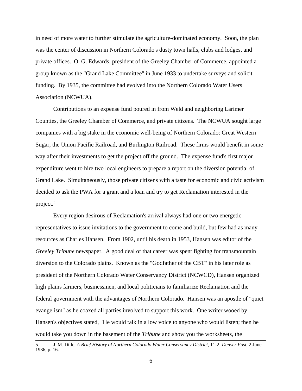in need of more water to further stimulate the agriculture-dominated economy. Soon, the plan was the center of discussion in Northern Colorado's dusty town halls, clubs and lodges, and private offices. O. G. Edwards, president of the Greeley Chamber of Commerce, appointed a group known as the "Grand Lake Committee" in June 1933 to undertake surveys and solicit funding. By 1935, the committee had evolved into the Northern Colorado Water Users Association (NCWUA).

Contributions to an expense fund poured in from Weld and neighboring Larimer Counties, the Greeley Chamber of Commerce, and private citizens. The NCWUA sought large companies with a big stake in the economic well-being of Northern Colorado: Great Western Sugar, the Union Pacific Railroad, and Burlington Railroad. These firms would benefit in some way after their investments to get the project off the ground. The expense fund's first major expenditure went to hire two local engineers to prepare a report on the diversion potential of Grand Lake. Simultaneously, those private citizens with a taste for economic and civic activism decided to ask the PWA for a grant and a loan and try to get Reclamation interested in the project.<sup>5</sup>

Every region desirous of Reclamation's arrival always had one or two energetic representatives to issue invitations to the government to come and build, but few had as many resources as Charles Hansen. From 1902, until his death in 1953, Hansen was editor of the *Greeley Tribune* newspaper. A good deal of that career was spent fighting for transmountain diversion to the Colorado plains. Known as the "Godfather of the CBT" in his later role as president of the Northern Colorado Water Conservancy District (NCWCD), Hansen organized high plains farmers, businessmen, and local politicians to familiarize Reclamation and the federal government with the advantages of Northern Colorado. Hansen was an apostle of "quiet evangelism" as he coaxed all parties involved to support this work. One writer wooed by Hansen's objectives stated, "He would talk in a low voice to anyone who would listen; then he would take you down in the basement of the *Tribune* and show you the worksheets, the

<sup>5.</sup> J. M. Dille, *A Brief History of Northern Colorado Water Conservancy District*, 11-2; *Denver Post*, 2 June 1936, p. 16.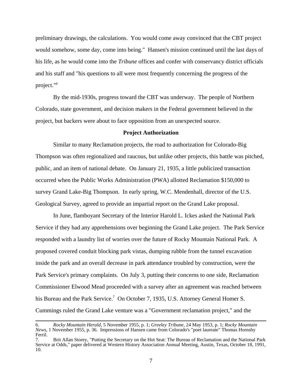preliminary drawings, the calculations. You would come away convinced that the CBT project would somehow, some day, come into being." Hansen's mission continued until the last days of his life, as he would come into the *Tribune* offices and confer with conservancy district officials and his staff and "his questions to all were most frequently concerning the progress of the project."6

By the mid-1930s, progress toward the CBT was underway. The people of Northern Colorado, state government, and decision makers in the Federal government believed in the project, but backers were about to face opposition from an unexpected source.

## **Project Authorization**

Similar to many Reclamation projects, the road to authorization for Colorado-Big Thompson was often regionalized and raucous, but unlike other projects, this battle was pitched, public, and an item of national debate. On January 21, 1935, a little publicized transaction occurred when the Public Works Administration (PWA) allotted Reclamation \$150,000 to survey Grand Lake-Big Thompson. In early spring, W.C. Mendenhall, director of the U.S. Geological Survey, agreed to provide an impartial report on the Grand Lake proposal.

In June, flamboyant Secretary of the Interior Harold L. Ickes asked the National Park Service if they had any apprehensions over beginning the Grand Lake project. The Park Service responded with a laundry list of worries over the future of Rocky Mountain National Park. A proposed covered conduit blocking park vistas, dumping rubble from the tunnel excavation inside the park and an overall decrease in park attendance troubled by construction, were the Park Service's primary complaints. On July 3, putting their concerns to one side, Reclamation Commissioner Elwood Mead proceeded with a survey after an agreement was reached between his Bureau and the Park Service.<sup>7</sup> On October 7, 1935, U.S. Attorney General Homer S. Cummings ruled the Grand Lake venture was a "Government reclamation project," and the

<sup>6.</sup> *Rocky Mountain Herald*, 5 November 1955, p. 1; *Greeley Tribune*, 24 May 1953, p. 1; *Rocky Mountain News*, 1 November 1955, p. 36. Impressions of Hansen came from Colorado's "poet laureate" Thomas Hornsby Ferril.

<sup>7.</sup> Brit Allan Storey, "Putting the Secretary on the Hot Seat: The Bureau of Reclamation and the National Park Service at Odds," paper delivered at Western History Association Annual Meeting, Austin, Texas, October 18, 1991, 10.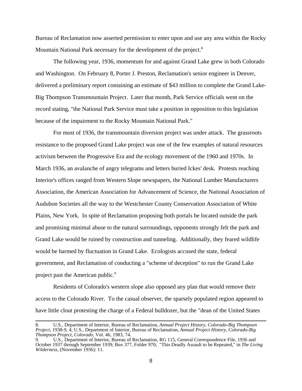Bureau of Reclamation now asserted permission to enter upon and use any area within the Rocky Mountain National Park necessary for the development of the project.<sup>8</sup>

The following year, 1936, momentum for and against Grand Lake grew in both Colorado and Washington. On February 8, Porter J. Preston, Reclamation's senior engineer in Denver, delivered a preliminary report containing an estimate of \$43 million to complete the Grand Lake-Big Thompson Transmountain Project. Later that month, Park Service officials went on the record stating, "the National Park Service must take a position in opposition to this legislation because of the impairment to the Rocky Mountain National Park."

For most of 1936, the transmountain diversion project was under attack. The grassroots resistance to the proposed Grand Lake project was one of the few examples of natural resources activism between the Progressive Era and the ecology movement of the 1960 and 1970s. In March 1936, an avalanche of angry telegrams and letters buried Ickes' desk. Protests reaching Interior's offices ranged from Western Slope newspapers, the National Lumber Manufacturers Association, the American Association for Advancement of Science, the National Association of Audubon Societies all the way to the Westchester County Conservation Association of White Plains, New York. In spite of Reclamation proposing both portals be located outside the park and promising minimal abuse to the natural surroundings, opponents strongly felt the park and Grand Lake would be ruined by construction and tunneling. Additionally, they feared wildlife would be harmed by fluctuation in Grand Lake. Ecologists accused the state, federal government, and Reclamation of conducting a "scheme of deception" to run the Grand Lake project past the American public.<sup>9</sup>

Residents of Colorado's western slope also opposed any plan that would remove their access to the Colorado River. To the casual observer, the sparsely populated region appeared to have little clout protesting the charge of a Federal bulldozer, but the "dean of the United States

<sup>8.</sup> U.S., Department of Interior, Bureau of Reclamation, *Annual Project History, Colorado-Big Thompson Project*, 1938-9, 4; U.S., Department of Interior, Bureau of Reclamation, *Annual Project History, Colorado-Big Thompson Project, Colorado*, Vol. 46, 1983, 74.

<sup>9.</sup> U.S., Department of Interior, Bureau of Reclamation, RG 115, General Correspondence File, 1936 and October 1937 through September 1939; Box 377, Folder 970; "This Deadly Assault to be Repeated," in *The Living Wilderness*, (November 1936): 11.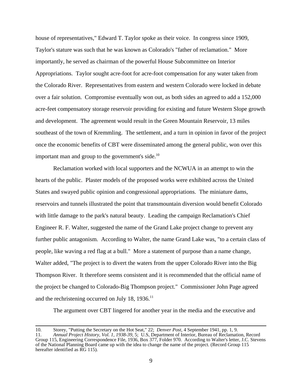house of representatives," Edward T. Taylor spoke as their voice. In congress since 1909, Taylor's stature was such that he was known as Colorado's "father of reclamation." More importantly, he served as chairman of the powerful House Subcommittee on Interior Appropriations. Taylor sought acre-foot for acre-foot compensation for any water taken from the Colorado River. Representatives from eastern and western Colorado were locked in debate over a fair solution. Compromise eventually won out, as both sides an agreed to add a 152,000 acre-feet compensatory storage reservoir providing for existing and future Western Slope growth and development. The agreement would result in the Green Mountain Reservoir, 13 miles southeast of the town of Kremmling. The settlement, and a turn in opinion in favor of the project once the economic benefits of CBT were disseminated among the general public, won over this important man and group to the government's side.<sup>10</sup>

Reclamation worked with local supporters and the NCWUA in an attempt to win the hearts of the public. Plaster models of the proposed works were exhibited across the United States and swayed public opinion and congressional appropriations. The miniature dams, reservoirs and tunnels illustrated the point that transmountain diversion would benefit Colorado with little damage to the park's natural beauty. Leading the campaign Reclamation's Chief Engineer R. F. Walter, suggested the name of the Grand Lake project change to prevent any further public antagonism. According to Walter, the name Grand Lake was, "to a certain class of people, like waving a red flag at a bull." More a statement of purpose than a name change, Walter added, "The project is to divert the waters from the upper Colorado River into the Big Thompson River. It therefore seems consistent and it is recommended that the official name of the project be changed to Colorado-Big Thompson project." Commissioner John Page agreed and the rechristening occurred on July 18, 1936.<sup>11</sup>

The argument over CBT lingered for another year in the media and the executive and

<sup>10.</sup> Storey, "Putting the Secretary on the Hot Seat," 22; *Denver Post*, 4 September 1941, pp. 1, 9.

<sup>11.</sup> *Annual Project History, Vol. 1, 1938-39*, 5; U.S, Department of Interior, Bureau of Reclamation, Record Group 115, Engineering Correspondence File, 1936, Box 377, Folder 970. According to Walter's letter, J.C. Stevens of the National Planning Board came up with the idea to change the name of the project. (Record Group 115 hereafter identified as RG 115).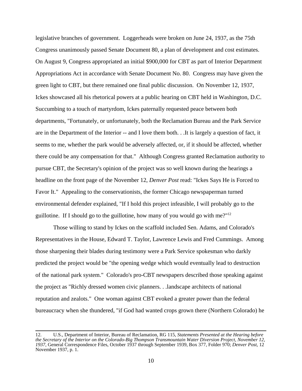legislative branches of government. Loggerheads were broken on June 24, 1937, as the 75th Congress unanimously passed Senate Document 80, a plan of development and cost estimates. On August 9, Congress appropriated an initial \$900,000 for CBT as part of Interior Department Appropriations Act in accordance with Senate Document No. 80. Congress may have given the green light to CBT, but there remained one final public discussion. On November 12, 1937, Ickes showcased all his rhetorical powers at a public hearing on CBT held in Washington, D.C. Succumbing to a touch of martyrdom, Ickes paternally requested peace between both departments, "Fortunately, or unfortunately, both the Reclamation Bureau and the Park Service are in the Department of the Interior -- and I love them both. . .It is largely a question of fact, it seems to me, whether the park would be adversely affected, or, if it should be affected, whether there could be any compensation for that." Although Congress granted Reclamation authority to pursue CBT, the Secretary's opinion of the project was so well known during the hearings a headline on the front page of the November 12, *Denver Post* read: "Ickes Says He is Forced to Favor It." Appealing to the conservationists, the former Chicago newspaperman turned environmental defender explained, "If I hold this project infeasible, I will probably go to the guillotine. If I should go to the guillotine, how many of you would go with me?"12

Those willing to stand by Ickes on the scaffold included Sen. Adams, and Colorado's Representatives in the House, Edward T. Taylor, Lawrence Lewis and Fred Cummings. Among those sharpening their blades during testimony were a Park Service spokesman who darkly predicted the project would be "the opening wedge which would eventually lead to destruction of the national park system." Colorado's pro-CBT newspapers described those speaking against the project as "Richly dressed women civic planners. . .landscape architects of national reputation and zealots." One woman against CBT evoked a greater power than the federal bureaucracy when she thundered, "if God had wanted crops grown there (Northern Colorado) he

<sup>12.</sup> U.S., Department of Interior, Bureau of Reclamation, RG 115, *Statements Presented at the Hearing before the Secretary of the Interior on the Colorado-Big Thompson Transmountain Water Diversion Project, November 12, 1937*, General Correspondence Files, October 1937 through September 1939, Box 377, Folder 970; *Denver Post*, 12 November 1937, p. 1.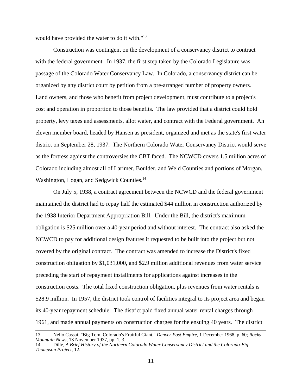would have provided the water to do it with."<sup>13</sup>

Construction was contingent on the development of a conservancy district to contract with the federal government. In 1937, the first step taken by the Colorado Legislature was passage of the Colorado Water Conservancy Law. In Colorado, a conservancy district can be organized by any district court by petition from a pre-arranged number of property owners. Land owners, and those who benefit from project development, must contribute to a project's cost and operation in proportion to those benefits. The law provided that a district could hold property, levy taxes and assessments, allot water, and contract with the Federal government. An eleven member board, headed by Hansen as president, organized and met as the state's first water district on September 28, 1937. The Northern Colorado Water Conservancy District would serve as the fortress against the controversies the CBT faced. The NCWCD covers 1.5 million acres of Colorado including almost all of Larimer, Boulder, and Weld Counties and portions of Morgan, Washington, Logan, and Sedgwick Counties.<sup>14</sup>

On July 5, 1938, a contract agreement between the NCWCD and the federal government maintained the district had to repay half the estimated \$44 million in construction authorized by the 1938 Interior Department Appropriation Bill. Under the Bill, the district's maximum obligation is \$25 million over a 40-year period and without interest. The contract also asked the NCWCD to pay for additional design features it requested to be built into the project but not covered by the original contract. The contract was amended to increase the District's fixed construction obligation by \$1,031,000, and \$2.9 million additional revenues from water service preceding the start of repayment installments for applications against increases in the construction costs. The total fixed construction obligation, plus revenues from water rentals is \$28.9 million. In 1957, the district took control of facilities integral to its project area and began its 40-year repayment schedule. The district paid fixed annual water rental charges through 1961, and made annual payments on construction charges for the ensuing 40 years. The district

<sup>13.</sup> Nello Cassai, "Big Tom, Colorado's Fruitful Giant," *Denver Post Empire*, 1 December 1968, p. 60; *Rocky Mountain News*, 13 November 1937, pp. 1, 3.<br>14. Dille, *A Brief History of the Northerr* 

<sup>14.</sup> Dille, *A Brief History of the Northern Colorado Water Conservancy District and the Colorado-Big Thompson Project*, 12.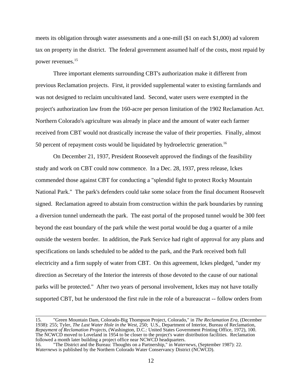meets its obligation through water assessments and a one-mill (\$1 on each \$1,000) ad valorem tax on property in the district. The federal government assumed half of the costs, most repaid by power revenues.15

Three important elements surrounding CBT's authorization make it different from previous Reclamation projects. First, it provided supplemental water to existing farmlands and was not designed to reclaim uncultivated land. Second, water users were exempted in the project's authorization law from the 160-acre per person limitation of the 1902 Reclamation Act. Northern Colorado's agriculture was already in place and the amount of water each farmer received from CBT would not drastically increase the value of their properties. Finally, almost 50 percent of repayment costs would be liquidated by hydroelectric generation.16

On December 21, 1937, President Roosevelt approved the findings of the feasibility study and work on CBT could now commence. In a Dec. 28, 1937, press release, Ickes commended those against CBT for conducting a "splendid fight to protect Rocky Mountain National Park." The park's defenders could take some solace from the final document Roosevelt signed. Reclamation agreed to abstain from construction within the park boundaries by running a diversion tunnel underneath the park. The east portal of the proposed tunnel would be 300 feet beyond the east boundary of the park while the west portal would be dug a quarter of a mile outside the western border. In addition, the Park Service had right of approval for any plans and specifications on lands scheduled to be added to the park, and the Park received both full electricity and a firm supply of water from CBT. On this agreement, Ickes pledged, "under my direction as Secretary of the Interior the interests of those devoted to the cause of our national parks will be protected." After two years of personal involvement, Ickes may not have totally supported CBT, but he understood the first rule in the role of a bureaucrat -- follow orders from

<sup>15. &</sup>quot;Green Mountain Dam, Colorado-Big Thompson Project, Colorado," in *The Reclamation Era*, (December 1938): 255; Tyler, *The Last Water Hole in the West*, 250; U.S., Department of Interior, Bureau of Reclamation, *Repayment of Reclamation Projects*, (Washington, D.C.: United States Government Printing Office, 1972), 100. The NCWCD moved to Loveland in 1954 to be closer to the project's water distribution facilities. Reclamation followed a month later building a project office near NCWCD headquarters.

<sup>16. &</sup>quot;The District and the Bureau: Thoughts on a Partnership," in *Waternews*, (September 1987): 22. *Waternews* is published by the Northern Colorado Water Conservancy District (NCWCD).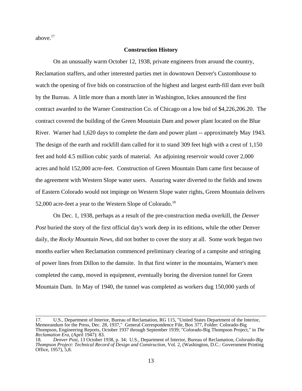above.17

# **Construction History**

On an unusually warm October 12, 1938, private engineers from around the country, Reclamation staffers, and other interested parties met in downtown Denver's Customhouse to watch the opening of five bids on construction of the highest and largest earth-fill dam ever built by the Bureau. A little more than a month later in Washington, Ickes announced the first contract awarded to the Warner Construction Co. of Chicago on a low bid of \$4,226,206.20. The contract covered the building of the Green Mountain Dam and power plant located on the Blue River. Warner had 1,620 days to complete the dam and power plant -- approximately May 1943. The design of the earth and rockfill dam called for it to stand 309 feet high with a crest of 1,150 feet and hold 4.5 million cubic yards of material. An adjoining reservoir would cover 2,000 acres and hold 152,000 acre-feet. Construction of Green Mountain Dam came first because of the agreement with Western Slope water users. Assuring water diverted to the fields and towns of Eastern Colorado would not impinge on Western Slope water rights, Green Mountain delivers 52,000 acre-feet a year to the Western Slope of Colorado.<sup>18</sup>

On Dec. 1, 1938, perhaps as a result of the pre-construction media overkill, the *Denver Post* buried the story of the first official day's work deep in its editions, while the other Denver daily, the *Rocky Mountain News*, did not bother to cover the story at all. Some work began two months earlier when Reclamation commenced preliminary clearing of a campsite and stringing of power lines from Dillon to the damsite. In that first winter in the mountains, Warner's men completed the camp, moved in equipment, eventually boring the diversion tunnel for Green Mountain Dam. In May of 1940, the tunnel was completed as workers dug 150,000 yards of

<sup>17.</sup> U.S., Department of Interior, Bureau of Reclamation, RG 115, "United States Department of the Interior, Memorandum for the Press, Dec. 28, 1937," General Correspondence File, Box 377, Folder: Colorado-Big Thompson, Engineering Reports, October 1937 through September 1939; "Colorado-Big Thompson Project," in *The Reclamation Era*, (April 1947): 83.

<sup>18.</sup> *Denver Post*, 13 October 1938, p. 34; U.S., Department of Interior, Bureau of Reclamation, *Colorado-Big Thompson Project: Technical Record of Design and Construction*, Vol. 2, (Washington, D.C.: Government Printing Office, 1957), 5,8.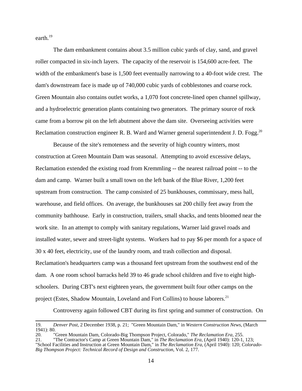earth.19

The dam embankment contains about 3.5 million cubic yards of clay, sand, and gravel roller compacted in six-inch layers. The capacity of the reservoir is 154,600 acre-feet. The width of the embankment's base is 1,500 feet eventually narrowing to a 40-foot wide crest. The dam's downstream face is made up of 740,000 cubic yards of cobblestones and coarse rock. Green Mountain also contains outlet works, a 1,070 foot concrete-lined open channel spillway, and a hydroelectric generation plants containing two generators. The primary source of rock came from a borrow pit on the left abutment above the dam site. Overseeing activities were Reclamation construction engineer R. B. Ward and Warner general superintendent J. D. Fogg.<sup>20</sup>

Because of the site's remoteness and the severity of high country winters, most construction at Green Mountain Dam was seasonal. Attempting to avoid excessive delays, Reclamation extended the existing road from Kremmling -- the nearest railroad point -- to the dam and camp. Warner built a small town on the left bank of the Blue River, 1,200 feet upstream from construction. The camp consisted of 25 bunkhouses, commissary, mess hall, warehouse, and field offices. On average, the bunkhouses sat 200 chilly feet away from the community bathhouse. Early in construction, trailers, small shacks, and tents bloomed near the work site. In an attempt to comply with sanitary regulations, Warner laid gravel roads and installed water, sewer and street-light systems. Workers had to pay \$6 per month for a space of 30 x 40 feet, electricity, use of the laundry room, and trash collection and disposal. Reclamation's headquarters camp was a thousand feet upstream from the southwest end of the dam. A one room school barracks held 39 to 46 grade school children and five to eight highschoolers. During CBT's next eighteen years, the government built four other camps on the project (Estes, Shadow Mountain, Loveland and Fort Collins) to house laborers.<sup>21</sup>

Controversy again followed CBT during its first spring and summer of construction. On

<sup>19.</sup> *Denver Post*, 2 December 1938, p. 21; "Green Mountain Dam," in *Western Construction News*, (March 1941): 80.

<sup>20. &</sup>quot;Green Mountain Dam, Colorado-Big Thompson Project, Colorado," *The Reclamation Era*, 255.

<sup>21. &</sup>quot;The Contractor's Camp at Green Mountain Dam," in *The Reclamation Era*, (April 1940): 120-1, 123; "School Facilities and Instruction at Green Mountain Dam," in *The Reclamation Era*, (April 1940): 120; *Colorado-Big Thompson Project: Technical Record of Design and Construction*, Vol. 2, 177.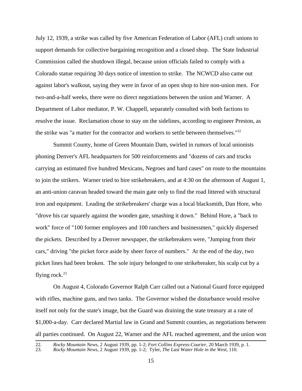July 12, 1939, a strike was called by five American Federation of Labor (AFL) craft unions to support demands for collective bargaining recognition and a closed shop. The State Industrial Commission called the shutdown illegal, because union officials failed to comply with a Colorado statue requiring 30 days notice of intention to strike. The NCWCD also came out against labor's walkout, saying they were in favor of an open shop to hire non-union men. For two-and-a-half weeks, there were no direct negotiations between the union and Warner. A Department of Labor mediator, P. W. Chappell, separately consulted with both factions to resolve the issue. Reclamation chose to stay on the sidelines, according to engineer Preston, as the strike was "a matter for the contractor and workers to settle between themselves."<sup>22</sup>

Summit County, home of Green Mountain Dam, swirled in rumors of local unionists phoning Denver's AFL headquarters for 500 reinforcements and "dozens of cars and trucks carrying an estimated five hundred Mexicans, Negroes and hard cases" on route to the mountains to join the strikers. Warner tried to hire strikebreakers, and at 4:30 on the afternoon of August 1, an anti-union caravan headed toward the main gate only to find the road littered with structural iron and equipment. Leading the strikebreakers' charge was a local blacksmith, Dan Hore, who "drove his car squarely against the wooden gate, smashing it down." Behind Hore, a "back to work" force of "100 former employees and 100 ranchers and businessmen," quickly dispersed the pickets. Described by a Denver newspaper, the strikebreakers were, "Jumping from their cars," driving "the picket force aside by sheer force of numbers." At the end of the day, two picket lines had been broken. The sole injury belonged to one strikebreaker, his scalp cut by a flying rock. $^{23}$ 

On August 4, Colorado Governor Ralph Carr called out a National Guard force equipped with rifles, machine guns, and two tanks. The Governor wished the disturbance would resolve itself not only for the state's image, but the Guard was draining the state treasury at a rate of \$1,000-a-day. Carr declared Martial law in Grand and Summit counties, as negotiations between all parties continued. On August 22, Warner and the AFL reached agreement, and the union won

<sup>22.</sup> *Rocky Mountain News*, 2 August 1939, pp. 1-2; *Fort Collins Express-Courier*, 20 March 1939, p. 1.

<sup>23.</sup> *Rocky Mountain News*, 2 August 1939, pp. 1-2; Tyler, *The Last Water Hole in the West*, 110.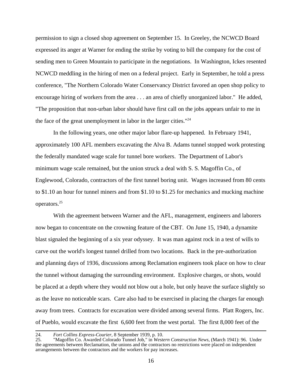permission to sign a closed shop agreement on September 15. In Greeley, the NCWCD Board expressed its anger at Warner for ending the strike by voting to bill the company for the cost of sending men to Green Mountain to participate in the negotiations. In Washington, Ickes resented NCWCD meddling in the hiring of men on a federal project. Early in September, he told a press conference, "The Northern Colorado Water Conservancy District favored an open shop policy to encourage hiring of workers from the area . . . an area of chiefly unorganized labor." He added, "The proposition that non-urban labor should have first call on the jobs appears unfair to me in the face of the great unemployment in labor in the larger cities."<sup>24</sup>

In the following years, one other major labor flare-up happened. In February 1941, approximately 100 AFL members excavating the Alva B. Adams tunnel stopped work protesting the federally mandated wage scale for tunnel bore workers. The Department of Labor's minimum wage scale remained, but the union struck a deal with S. S. Magoffin Co., of Englewood, Colorado, contractors of the first tunnel boring unit. Wages increased from 80 cents to \$1.10 an hour for tunnel miners and from \$1.10 to \$1.25 for mechanics and mucking machine operators.25

With the agreement between Warner and the AFL, management, engineers and laborers now began to concentrate on the crowning feature of the CBT. On June 15, 1940, a dynamite blast signaled the beginning of a six year odyssey. It was man against rock in a test of wills to carve out the world's longest tunnel drilled from two locations. Back in the pre-authorization and planning days of 1936, discussions among Reclamation engineers took place on how to clear the tunnel without damaging the surrounding environment. Explosive charges, or shots, would be placed at a depth where they would not blow out a hole, but only heave the surface slightly so as the leave no noticeable scars. Care also had to be exercised in placing the charges far enough away from trees. Contracts for excavation were divided among several firms. Platt Rogers, Inc. of Pueblo, would excavate the first 6,600 feet from the west portal. The first 8,000 feet of the

<sup>24.</sup> *Fort Collins Express-Courier*, 8 September 1939, p. 10.

<sup>25. &</sup>quot;Magoffin Co. Awarded Colorado Tunnel Job," in *Western Construction News*, (March 1941): 96. Under the agreements between Reclamation, the unions and the contractors no restrictions were placed on independent arrangements between the contractors and the workers for pay increases.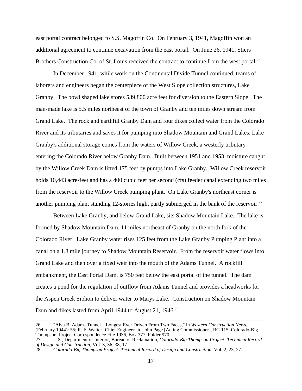east portal contract belonged to S.S. Magoffin Co. On February 3, 1941, Magoffin won an additional agreement to continue excavation from the east portal. On June 26, 1941, Stiers Brothers Construction Co. of St. Louis received the contract to continue from the west portal.<sup>26</sup>

In December 1941, while work on the Continental Divide Tunnel continued, teams of laborers and engineers began the centerpiece of the West Slope collection structures, Lake Granby. The bowl shaped lake stores 539,800 acre feet for diversion to the Eastern Slope. The man-made lake is 5.5 miles northeast of the town of Granby and ten miles down stream from Grand Lake. The rock and earthfill Granby Dam and four dikes collect water from the Colorado River and its tributaries and saves it for pumping into Shadow Mountain and Grand Lakes. Lake Granby's additional storage comes from the waters of Willow Creek, a westerly tributary entering the Colorado River below Granby Dam. Built between 1951 and 1953, moisture caught by the Willow Creek Dam is lifted 175 feet by pumps into Lake Granby. Willow Creek reservoir holds 10,443 acre-feet and has a 400 cubic feet per second (cfs) feeder canal extending two miles from the reservoir to the Willow Creek pumping plant. On Lake Granby's northeast corner is another pumping plant standing 12-stories high, partly submerged in the bank of the reservoir.<sup>27</sup>

Between Lake Granby, and below Grand Lake, sits Shadow Mountain Lake. The lake is formed by Shadow Mountain Dam, 11 miles northeast of Granby on the north fork of the Colorado River. Lake Granby water rises 125 feet from the Lake Granby Pumping Plant into a canal on a 1.8 mile journey to Shadow Mountain Reservoir. From the reservoir water flows into Grand Lake and then over a fixed weir into the mouth of the Adams Tunnel. A rockfill embankment, the East Portal Dam, is 750 feet below the east portal of the tunnel. The dam creates a pond for the regulation of outflow from Adams Tunnel and provides a headworks for the Aspen Creek Siphon to deliver water to Marys Lake. Construction on Shadow Mountain Dam and dikes lasted from April 1944 to August 21, 1946.<sup>28</sup>

<sup>26. &</sup>quot;Alva B. Adams Tunnel – Longest Ever Driven From Two Faces," in *Western Construction News*, (February 1944): 55; R. F. Walter [Chief Engineer] to John Page [Acting Commissioner], RG 115, Colorado-Big Thompson, Project Correspondence File 1936, Box 377, Folder 970.

<sup>27.</sup> U.S., Department of Interior, Bureau of Reclamation, *Colorado-Big Thompson Project: Technical Record of Design and Construction*, Vol. 3, 36, 38, 17.

<sup>28.</sup> *Colorado-Big Thompson Project: Technical Record of Design and Construction*, Vol. 2, 23, 27.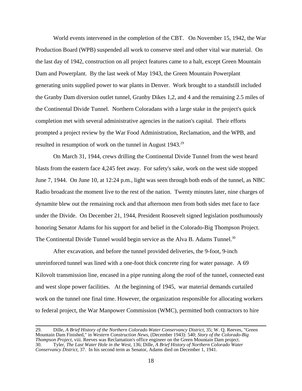World events intervened in the completion of the CBT. On November 15, 1942, the War Production Board (WPB) suspended all work to conserve steel and other vital war material. On the last day of 1942, construction on all project features came to a halt, except Green Mountain Dam and Powerplant. By the last week of May 1943, the Green Mountain Powerplant generating units supplied power to war plants in Denver. Work brought to a standstill included the Granby Dam diversion outlet tunnel, Granby Dikes 1,2, and 4 and the remaining 2.5 miles of the Continental Divide Tunnel. Northern Coloradans with a large stake in the project's quick completion met with several administrative agencies in the nation's capital. Their efforts prompted a project review by the War Food Administration, Reclamation, and the WPB, and resulted in resumption of work on the tunnel in August 1943.<sup>29</sup>

On March 31, 1944, crews drilling the Continental Divide Tunnel from the west heard blasts from the eastern face 4,245 feet away. For safety's sake, work on the west side stopped June 7, 1944. On June 10, at 12:24 p.m., light was seen through both ends of the tunnel, as NBC Radio broadcast the moment live to the rest of the nation. Twenty minutes later, nine charges of dynamite blew out the remaining rock and that afternoon men from both sides met face to face under the Divide. On December 21, 1944, President Roosevelt signed legislation posthumously honoring Senator Adams for his support for and belief in the Colorado-Big Thompson Project. The Continental Divide Tunnel would begin service as the Alva B. Adams Tunnel.<sup>30</sup>

After excavation, and before the tunnel provided deliveries, the 9-foot, 9-inch unreinforced tunnel was lined with a one-foot thick concrete ring for water passage. A 69 Kilovolt transmission line, encased in a pipe running along the roof of the tunnel, connected east and west slope power facilities. At the beginning of 1945, war material demands curtailed work on the tunnel one final time. However, the organization responsible for allocating workers to federal project, the War Manpower Commission (WMC), permitted both contractors to hire

<sup>29.</sup> Dille, *A Brief History of the Northern Colorado Water Conservancy District*, 35; W. Q. Reeves, "Green Mountain Dam Finished," in *Western Construction News*, (December 1943): 540; *Story of the Colorado-Big Thompson Project*, viii. Reeves was Reclamation's office engineer on the Green Mountain Dam project. 30. Tyler, *The Last Water Hole in the West*, 136; Dille, *A Brief History of Northern Colorado Water Conservancy District*, 37. In his second term as Senator, Adams died on December 1, 1941.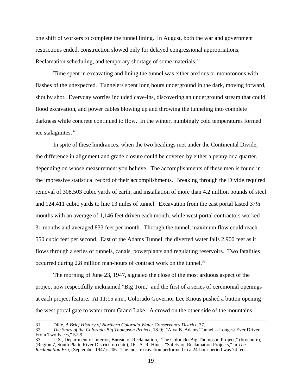one shift of workers to complete the tunnel lining. In August, both the war and government restrictions ended, construction slowed only for delayed congressional appropriations, Reclamation scheduling, and temporary shortage of some materials.<sup>31</sup>

Time spent in excavating and lining the tunnel was either anxious or monotonous with flashes of the unexpected. Tunnelers spent long hours underground in the dark, moving forward, shot by shot. Everyday worries included cave-ins, discovering an underground stream that could flood excavation, and power cables blowing up and throwing the tunneling into complete darkness while concrete continued to flow. In the winter, numbingly cold temperatures formed ice stalagmites.32

In spite of these hindrances, when the two headings met under the Continental Divide, the difference in alignment and grade closure could be covered by either a penny or a quarter, depending on whose measurement you believe. The accomplishments of these men is found in the impressive statistical record of their accomplishments. Breaking through the Divide required removal of 308,503 cubic yards of earth, and installation of more than 4.2 million pounds of steel and 124,411 cubic yards to line 13 miles of tunnel. Excavation from the east portal lasted 37½ months with an average of 1,146 feet driven each month, while west portal contractors worked 31 months and averaged 833 feet per month. Through the tunnel, maximum flow could reach 550 cubic feet per second. East of the Adams Tunnel, the diverted water falls 2,900 feet as it flows through a series of tunnels, canals, powerplants and regulating reservoirs. Two fatalities occurred during 2.8 million man-hours of contract work on the tunnel.<sup>33</sup>

The morning of June 23, 1947, signaled the close of the most arduous aspect of the project now respectfully nicknamed "Big Tom," and the first of a series of ceremonial openings at each project feature. At 11:15 a.m., Colorado Governor Lee Knous pushed a button opening the west portal gate to water from Grand Lake. A crowd on the other side of the mountains

<sup>31.</sup> Dille, *A Brief History of Northern Colorado Water Conservancy District*, 37.

<sup>32.</sup> *The Story of the Colorado-Big Thompson Project*, 18-9; "Alva B. Adams Tunnel -- Longest Ever Driven From Two Faces,"  $57-9$ .

<sup>33.</sup> U.S., Department of Interior, Bureau of Reclamation, "The Colorado-Big Thompson Project," (brochure), (Region 7, South Platte River District, no date), 16; A. R. Hines, "Safety on Reclamation Projects," in *The Reclamation Era*, (September 1947): 206. The most excavation performed in a 24-hour period was 74 feet.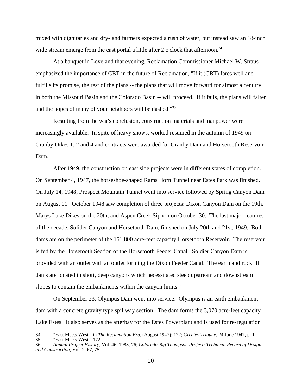mixed with dignitaries and dry-land farmers expected a rush of water, but instead saw an 18-inch wide stream emerge from the east portal a little after 2 o'clock that afternoon.<sup>34</sup>

At a banquet in Loveland that evening, Reclamation Commissioner Michael W. Straus emphasized the importance of CBT in the future of Reclamation, "If it (CBT) fares well and fulfills its promise, the rest of the plans -- the plans that will move forward for almost a century in both the Missouri Basin and the Colorado Basin -- will proceed. If it fails, the plans will falter and the hopes of many of your neighbors will be dashed."35

Resulting from the war's conclusion, construction materials and manpower were increasingly available. In spite of heavy snows, worked resumed in the autumn of 1949 on Granby Dikes 1, 2 and 4 and contracts were awarded for Granby Dam and Horsetooth Reservoir Dam.

After 1949, the construction on east side projects were in different states of completion. On September 4, 1947, the horseshoe-shaped Rams Horn Tunnel near Estes Park was finished. On July 14, 1948, Prospect Mountain Tunnel went into service followed by Spring Canyon Dam on August 11. October 1948 saw completion of three projects: Dixon Canyon Dam on the 19th, Marys Lake Dikes on the 20th, and Aspen Creek Siphon on October 30. The last major features of the decade, Solider Canyon and Horsetooth Dam, finished on July 20th and 21st, 1949. Both dams are on the perimeter of the 151,800 acre-feet capacity Horsetooth Reservoir. The reservoir is fed by the Horsetooth Section of the Horsetooth Feeder Canal. Soldier Canyon Dam is provided with an outlet with an outlet forming the Dixon Feeder Canal. The earth and rockfill dams are located in short, deep canyons which necessitated steep upstream and downstream slopes to contain the embankments within the canyon limits. $36$ 

On September 23, Olympus Dam went into service. Olympus is an earth embankment dam with a concrete gravity type spillway section. The dam forms the 3,070 acre-feet capacity Lake Estes. It also serves as the afterbay for the Estes Powerplant and is used for re-regulation

<sup>34. &</sup>quot;East Meets West," in *The Reclamation Era*, (August 1947): 172; *Greeley Tribune*, 24 June 1947, p. 1.

<sup>35. &</sup>quot;East Meets West," 172.<br>36. Annual Project History,

<sup>36.</sup> *Annual Project History*, Vol. 46, 1983, 76; *Colorado-Big Thompson Project: Technical Record of Design and Construction*, Vol. 2, 67, 75.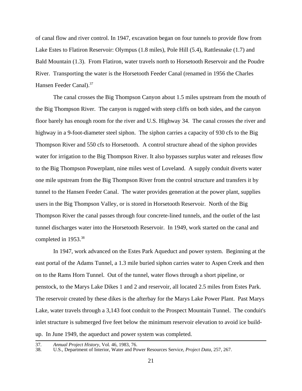of canal flow and river control. In 1947, excavation began on four tunnels to provide flow from Lake Estes to Flatiron Reservoir: Olympus (1.8 miles), Pole Hill (5.4), Rattlesnake (1.7) and Bald Mountain (1.3). From Flatiron, water travels north to Horsetooth Reservoir and the Poudre River. Transporting the water is the Horsetooth Feeder Canal (renamed in 1956 the Charles Hansen Feeder Canal).<sup>37</sup>

The canal crosses the Big Thompson Canyon about 1.5 miles upstream from the mouth of the Big Thompson River. The canyon is rugged with steep cliffs on both sides, and the canyon floor barely has enough room for the river and U.S. Highway 34. The canal crosses the river and highway in a 9-foot-diameter steel siphon. The siphon carries a capacity of 930 cfs to the Big Thompson River and 550 cfs to Horsetooth. A control structure ahead of the siphon provides water for irrigation to the Big Thompson River. It also bypasses surplus water and releases flow to the Big Thompson Powerplant, nine miles west of Loveland. A supply conduit diverts water one mile upstream from the Big Thompson River from the control structure and transfers it by tunnel to the Hansen Feeder Canal. The water provides generation at the power plant, supplies users in the Big Thompson Valley, or is stored in Horsetooth Reservoir. North of the Big Thompson River the canal passes through four concrete-lined tunnels, and the outlet of the last tunnel discharges water into the Horsetooth Reservoir. In 1949, work started on the canal and completed in 1953.<sup>38</sup>

In 1947, work advanced on the Estes Park Aqueduct and power system. Beginning at the east portal of the Adams Tunnel, a 1.3 mile buried siphon carries water to Aspen Creek and then on to the Rams Horn Tunnel. Out of the tunnel, water flows through a short pipeline, or penstock, to the Marys Lake Dikes 1 and 2 and reservoir, all located 2.5 miles from Estes Park. The reservoir created by these dikes is the afterbay for the Marys Lake Power Plant. Past Marys Lake, water travels through a 3,143 foot conduit to the Prospect Mountain Tunnel. The conduit's inlet structure is submerged five feet below the minimum reservoir elevation to avoid ice buildup. In June 1949, the aqueduct and power system was completed.

<sup>37.</sup> *Annual Project History*, Vol. 46, 1983, 76.

<sup>38.</sup> U.S., Department of Interior, Water and Power Resources Service, *Project Data*, 257, 267.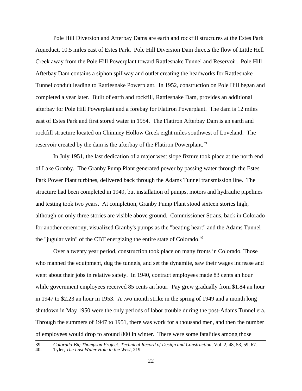Pole Hill Diversion and Afterbay Dams are earth and rockfill structures at the Estes Park Aqueduct, 10.5 miles east of Estes Park. Pole Hill Diversion Dam directs the flow of Little Hell Creek away from the Pole Hill Powerplant toward Rattlesnake Tunnel and Reservoir. Pole Hill Afterbay Dam contains a siphon spillway and outlet creating the headworks for Rattlesnake Tunnel conduit leading to Rattlesnake Powerplant. In 1952, construction on Pole Hill began and completed a year later. Built of earth and rockfill, Rattlesnake Dam, provides an additional afterbay for Pole Hill Powerplant and a forebay for Flatiron Powerplant. The dam is 12 miles east of Estes Park and first stored water in 1954. The Flatiron Afterbay Dam is an earth and rockfill structure located on Chimney Hollow Creek eight miles southwest of Loveland. The reservoir created by the dam is the afterbay of the Flatiron Powerplant.<sup>39</sup>

In July 1951, the last dedication of a major west slope fixture took place at the north end of Lake Granby. The Granby Pump Plant generated power by passing water through the Estes Park Power Plant turbines, delivered back through the Adams Tunnel transmission line. The structure had been completed in 1949, but installation of pumps, motors and hydraulic pipelines and testing took two years. At completion, Granby Pump Plant stood sixteen stories high, although on only three stories are visible above ground. Commissioner Straus, back in Colorado for another ceremony, visualized Granby's pumps as the "beating heart" and the Adams Tunnel the "jugular vein" of the CBT energizing the entire state of Colorado.<sup>40</sup>

Over a twenty year period, construction took place on many fronts in Colorado. Those who manned the equipment, dug the tunnels, and set the dynamite, saw their wages increase and went about their jobs in relative safety. In 1940, contract employees made 83 cents an hour while government employees received 85 cents an hour. Pay grew gradually from \$1.84 an hour in 1947 to \$2.23 an hour in 1953. A two month strike in the spring of 1949 and a month long shutdown in May 1950 were the only periods of labor trouble during the post-Adams Tunnel era. Through the summers of 1947 to 1951, there was work for a thousand men, and then the number of employees would drop to around 800 in winter. There were some fatalities among those

<sup>39.</sup> *Colorado-Big Thompson Project: Technical Record of Design and Construction*, Vol. 2, 48, 53, 59, 67.

<sup>40.</sup> Tyler, *The Last Water Hole in the West*, 219.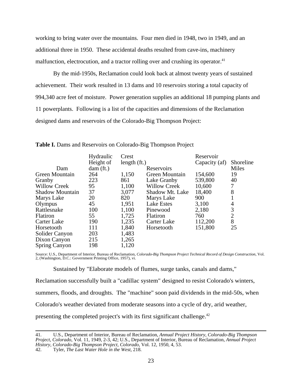working to bring water over the mountains. Four men died in 1948, two in 1949, and an additional three in 1950. These accidental deaths resulted from cave-ins, machinery malfunction, electrocution, and a tractor rolling over and crushing its operator.<sup>41</sup>

By the mid-1950s, Reclamation could look back at almost twenty years of sustained achievement. Their work resulted in 13 dams and 10 reservoirs storing a total capacity of 994,340 acre feet of moisture. Power generation supplies an additional 18 pumping plants and 11 powerplants. Following is a list of the capacities and dimensions of the Reclamation designed dams and reservoirs of the Colorado-Big Thompson Project:

|                        | Hydraulic | Crest         |                     | Reservoir     |                |
|------------------------|-----------|---------------|---------------------|---------------|----------------|
|                        | Height of | length $(ft)$ |                     | Capacity (af) | Shoreline      |
| Dam                    | dam (ft.) |               | Reservoirs          |               | Miles          |
| Green Mountain         | 264       | 1,150         | Green Mountain      | 154,600       | 19             |
| Granby                 | 223       | 861           | Lake Granby         | 539,800       | 40             |
| <b>Willow Creek</b>    | 95        | 1,100         | <b>Willow Creek</b> | 10,600        | 7              |
| <b>Shadow Mountain</b> | 37        | 3,077         | Shadow Mt. Lake     | 18,400        | 8              |
| Marys Lake             | 20        | 820           | Marys Lake          | 900           |                |
| Olympus                | 45        | 1,951         | Lake Estes          | 3,100         | 4              |
| Rattlesnake            | 100       | 1,100         | Pinewood            | 2,180         | 3              |
| Flatiron               | 55        | 1,725         | <b>Flatiron</b>     | 760           | $\overline{2}$ |
| Carter Lake            | 190       | 1,235         | Carter Lake         | 112,200       | 8              |
| Horsetooth             | 111       | 1,840         | Horsetooth          | 151,800       | 25             |
| Solider Canyon         | 203       | 1,483         |                     |               |                |
| Dixon Canyon           | 215       | 1,265         |                     |               |                |
| <b>Spring Canyon</b>   | 198       | 1,120         |                     |               |                |

**Table I.** Dams and Reservoirs on Colorado-Big Thompson Project

Source: U.S., Department of Interior, Bureau of Reclamation, *Colorado-Big Thompson Project Technical Record of Design Construction*, Vol. 2, (Washington, D.C.: Government Printing Office, 1957), vi.

Sustained by "Elaborate models of flumes, surge tanks, canals and dams,"

Reclamation successfully built a "cadillac system" designed to resist Colorado's winters, summers, floods, and droughts. The "machine" soon paid dividends in the mid-50s, when Colorado's weather deviated from moderate seasons into a cycle of dry, arid weather, presenting the completed project's with its first significant challenge.<sup>42</sup>

42. Tyler, *The Last Water Hole in the West*, 218.

<sup>41.</sup> U.S., Department of Interior, Bureau of Reclamation, *Annual Project History, Colorado-Big Thompson Project, Colorado*, Vol. 11, 1949, 2-3, 42; U.S., Department of Interior, Bureau of Reclamation, *Annual Project History, Colorado-Big Thompson Project, Colorado*, Vol. 12, 1950, 4, 53.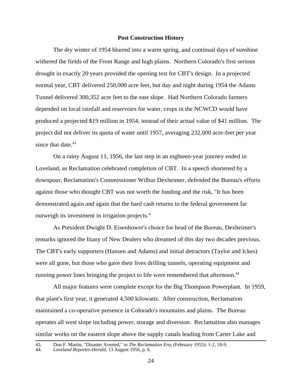#### **Post Construction History**

The dry winter of 1954 blurred into a warm spring, and continual days of sunshine withered the fields of the Front Range and high plains. Northern Colorado's first serious drought in exactly 20 years provided the opening test for CBT's design. In a projected normal year, CBT delivered 250,000 acre feet, but day and night during 1954 the Adams Tunnel delivered 300,352 acre feet to the east slope. Had Northern Colorado farmers depended on local rainfall and reservoirs for water, crops in the NCWCD would have produced a projected \$19 million in 1954, instead of their actual value of \$41 million. The project did not deliver its quota of water until 1957, averaging 232,000 acre-feet per year since that date. $43$ 

On a rainy August 11, 1956, the last step in an eighteen-year journey ended in Loveland, as Reclamation celebrated completion of CBT. In a speech shortened by a downpour, Reclamation's Commissioner Wilbur Dexheimer, defended the Bureau's efforts against those who thought CBT was not worth the funding and the risk, "It has been demonstrated again and again that the hard cash returns to the federal government far outweigh its investment in irrigation projects."

As President Dwight D. Eisenhower's choice for head of the Bureau, Dexheimer's remarks ignored the litany of New Dealers who dreamed of this day two decades previous. The CBT's early supporters (Hansen and Adams) and initial detractors (Taylor and Ickes) were all gone, but those who gave their lives drilling tunnels, operating equipment and running power lines bringing the project to life were remembered that afternoon.<sup>44</sup>

All major features were complete except for the Big Thompson Powerplant. In 1959, that plant's first year, it generated 4,500 kilowatts. After construction, Reclamation maintained a co-operative presence in Colorado's mountains and plains. The Bureau operates all west slope including power, storage and diversion. Reclamation also manages similar works on the eastern slope above the supply canals leading from Carter Lake and

<sup>43.</sup> Don F. Martin, "Disaster Averted," in *The Reclamation Era*, (February 1955): 1-2, 18-9.

<sup>44.</sup> *Loveland Reporter-Herald*, 13 August 1956, p. 6.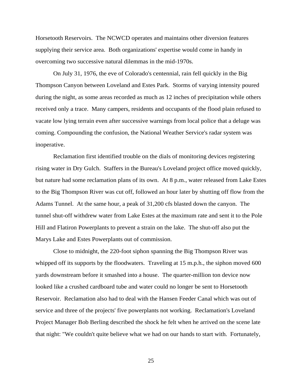Horsetooth Reservoirs. The NCWCD operates and maintains other diversion features supplying their service area. Both organizations' expertise would come in handy in overcoming two successive natural dilemmas in the mid-1970s.

On July 31, 1976, the eve of Colorado's centennial, rain fell quickly in the Big Thompson Canyon between Loveland and Estes Park. Storms of varying intensity poured during the night, as some areas recorded as much as 12 inches of precipitation while others received only a trace. Many campers, residents and occupants of the flood plain refused to vacate low lying terrain even after successive warnings from local police that a deluge was coming. Compounding the confusion, the National Weather Service's radar system was inoperative.

Reclamation first identified trouble on the dials of monitoring devices registering rising water in Dry Gulch. Staffers in the Bureau's Loveland project office moved quickly, but nature had some reclamation plans of its own. At 8 p.m., water released from Lake Estes to the Big Thompson River was cut off, followed an hour later by shutting off flow from the Adams Tunnel. At the same hour, a peak of 31,200 cfs blasted down the canyon. The tunnel shut-off withdrew water from Lake Estes at the maximum rate and sent it to the Pole Hill and Flatiron Powerplants to prevent a strain on the lake. The shut-off also put the Marys Lake and Estes Powerplants out of commission.

Close to midnight, the 220-foot siphon spanning the Big Thompson River was whipped off its supports by the floodwaters. Traveling at 15 m.p.h., the siphon moved 600 yards downstream before it smashed into a house. The quarter-million ton device now looked like a crushed cardboard tube and water could no longer be sent to Horsetooth Reservoir. Reclamation also had to deal with the Hansen Feeder Canal which was out of service and three of the projects' five powerplants not working. Reclamation's Loveland Project Manager Bob Berling described the shock he felt when he arrived on the scene late that night: "We couldn't quite believe what we had on our hands to start with. Fortunately,

25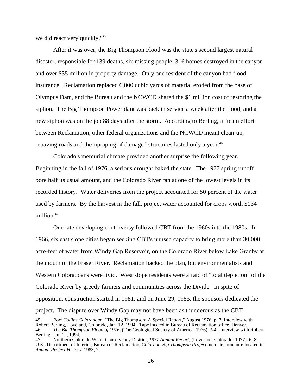we did react very quickly."<sup>45</sup>

After it was over, the Big Thompson Flood was the state's second largest natural disaster, responsible for 139 deaths, six missing people, 316 homes destroyed in the canyon and over \$35 million in property damage. Only one resident of the canyon had flood insurance. Reclamation replaced 6,000 cubic yards of material eroded from the base of Olympus Dam, and the Bureau and the NCWCD shared the \$1 million cost of restoring the siphon. The Big Thompson Powerplant was back in service a week after the flood, and a new siphon was on the job 88 days after the storm. According to Berling, a "team effort" between Reclamation, other federal organizations and the NCWCD meant clean-up, repaving roads and the ripraping of damaged structures lasted only a year.<sup>46</sup>

Colorado's mercurial climate provided another surprise the following year. Beginning in the fall of 1976, a serious drought baked the state. The 1977 spring runoff bore half its usual amount, and the Colorado River ran at one of the lowest levels in its recorded history. Water deliveries from the project accounted for 50 percent of the water used by farmers. By the harvest in the fall, project water accounted for crops worth \$134 million.<sup>47</sup>

One late developing controversy followed CBT from the 1960s into the 1980s. In 1966, six east slope cities began seeking CBT's unused capacity to bring more than 30,000 acre-feet of water from Windy Gap Reservoir, on the Colorado River below Lake Granby at the mouth of the Fraser River. Reclamation backed the plan, but environmentalists and Western Coloradoans were livid. West slope residents were afraid of "total depletion" of the Colorado River by greedy farmers and communities across the Divide. In spite of opposition, construction started in 1981, and on June 29, 1985, the sponsors dedicated the project. The dispute over Windy Gap may not have been as thunderous as the CBT

<sup>45.</sup> *Fort Collins Coloradoan*, "The Big Thompson: A Special Report," August 1976, p. 7; Interview with Robert Berling, Loveland, Colorado, Jan. 12, 1994. Tape located in Bureau of Reclamation office, Denver. 46. *The Big Thompson Flood of 1976*, (The Geological Society of America, 1976), 3-4; Interview with Robert Berling, Jan. 12, 1994.

<sup>47.</sup> Northern Colorado Water Conservancy District, *1977 Annual Report*, (Loveland, Colorado: 1977), 6, 8; U.S., Department of Interior, Bureau of Reclamation, *Colorado-Big Thompson Project*, no date, brochure located in *Annual Project History*, 1983, 7.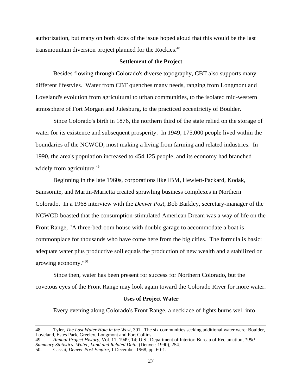authorization, but many on both sides of the issue hoped aloud that this would be the last transmountain diversion project planned for the Rockies.<sup>48</sup>

#### **Settlement of the Project**

Besides flowing through Colorado's diverse topography, CBT also supports many different lifestyles. Water from CBT quenches many needs, ranging from Longmont and Loveland's evolution from agricultural to urban communities, to the isolated mid-western atmosphere of Fort Morgan and Julesburg, to the practiced eccentricity of Boulder.

Since Colorado's birth in 1876, the northern third of the state relied on the storage of water for its existence and subsequent prosperity. In 1949, 175,000 people lived within the boundaries of the NCWCD, most making a living from farming and related industries. In 1990, the area's population increased to 454,125 people, and its economy had branched widely from agriculture.<sup>49</sup>

Beginning in the late 1960s, corporations like IBM, Hewlett-Packard, Kodak, Samsonite, and Martin-Marietta created sprawling business complexes in Northern Colorado. In a 1968 interview with the *Denver Post*, Bob Barkley, secretary-manager of the NCWCD boasted that the consumption-stimulated American Dream was a way of life on the Front Range, "A three-bedroom house with double garage to accommodate a boat is commonplace for thousands who have come here from the big cities. The formula is basic: adequate water plus productive soil equals the production of new wealth and a stabilized or growing economy."50

Since then, water has been present for success for Northern Colorado, but the covetous eyes of the Front Range may look again toward the Colorado River for more water.

#### **Uses of Project Water**

Every evening along Colorado's Front Range, a necklace of lights burns well into

<sup>48.</sup> Tyler, *The Last Water Hole in the West*, 301. The six communities seeking additional water were: Boulder, Loveland, Estes Park, Greeley, Longmont and Fort Collins.

<sup>49.</sup> *Annual Project History*, Vol. 11, 1949, 14; U.S., Department of Interior, Bureau of Reclamation, *1990 Summary Statistics: Water, Land and Related Data*, (Denver: 1990), 254. 50. Cassai, *Denver Post Empire*, 1 December 1968, pp. 60-1.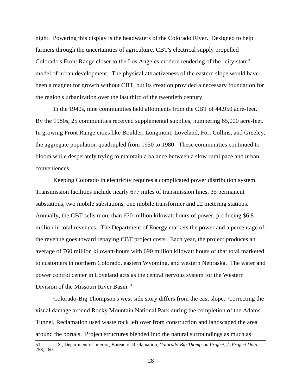night. Powering this display is the headwaters of the Colorado River. Designed to help farmers through the uncertainties of agriculture, CBT's electrical supply propelled Colorado's Front Range closer to the Los Angeles modern rendering of the "city-state" model of urban development. The physical attractiveness of the eastern slope would have been a magnet for growth without CBT, but its creation provided a necessary foundation for the region's urbanization over the last third of the twentieth century.

In the 1940s, nine communities held allotments from the CBT of 44,950 acre-feet. By the 1980s, 25 communities received supplemental supplies, numbering 65,000 acre-feet. In growing Front Range cities like Boulder, Longmont, Loveland, Fort Collins, and Greeley, the aggregate population quadrupled from 1950 to 1980. These communities continued to bloom while desperately trying to maintain a balance between a slow rural pace and urban conveniences.

Keeping Colorado in electricity requires a complicated power distribution system. Transmission facilities include nearly 677 miles of transmission lines, 35 permanent substations, two mobile substations, one mobile transformer and 22 metering stations. Annually, the CBT sells more than 670 million kilowatt hours of power, producing \$6.8 million in total revenues. The Department of Energy markets the power and a percentage of the revenue goes toward repaying CBT project costs. Each year, the project produces an average of 760 million kilowatt-hours with 690 million kilowatt hours of that total marketed to customers in northern Colorado, eastern Wyoming, and western Nebraska. The water and power control center in Loveland acts as the central nervous system for the Western Division of the Missouri River Basin.<sup>51</sup>

Colorado-Big Thompson's west side story differs from the east slope. Correcting the visual damage around Rocky Mountain National Park during the completion of the Adams Tunnel, Reclamation used waste rock left over from construction and landscaped the area around the portals. Project structures blended into the natural surroundings as much as

<sup>51.</sup> U.S., Department of Interior, Bureau of Reclamation, *Colorado-Big Thompson Project*, 7; *Project Data*, 258, 260.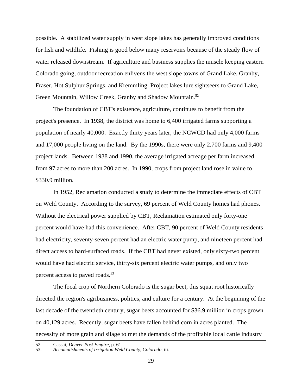possible. A stabilized water supply in west slope lakes has generally improved conditions for fish and wildlife**.** Fishing is good below many reservoirs because of the steady flow of water released downstream. If agriculture and business supplies the muscle keeping eastern Colorado going, outdoor recreation enlivens the west slope towns of Grand Lake, Granby, Fraser, Hot Sulphur Springs, and Kremmling. Project lakes lure sightseers to Grand Lake, Green Mountain, Willow Creek, Granby and Shadow Mountain.<sup>52</sup>

The foundation of CBT's existence, agriculture, continues to benefit from the project's presence. In 1938, the district was home to 6,400 irrigated farms supporting a population of nearly 40,000. Exactly thirty years later, the NCWCD had only 4,000 farms and 17,000 people living on the land. By the 1990s, there were only 2,700 farms and 9,400 project lands. Between 1938 and 1990, the average irrigated acreage per farm increased from 97 acres to more than 200 acres. In 1990, crops from project land rose in value to \$330.9 million.

In 1952, Reclamation conducted a study to determine the immediate effects of CBT on Weld County. According to the survey, 69 percent of Weld County homes had phones. Without the electrical power supplied by CBT, Reclamation estimated only forty-one percent would have had this convenience. After CBT, 90 percent of Weld County residents had electricity, seventy-seven percent had an electric water pump, and nineteen percent had direct access to hard-surfaced roads. If the CBT had never existed, only sixty-two percent would have had electric service, thirty-six percent electric water pumps, and only two percent access to paved roads.<sup>53</sup>

The focal crop of Northern Colorado is the sugar beet, this squat root historically directed the region's agribusiness, politics, and culture for a century. At the beginning of the last decade of the twentieth century, sugar beets accounted for \$36.9 million in crops grown on 40,129 acres. Recently, sugar beets have fallen behind corn in acres planted. The necessity of more grain and silage to met the demands of the profitable local cattle industry

<sup>52.</sup> Cassai, *Denver Post Empire*, p. 61.

<sup>53.</sup> *Accomplishments of Irrigation Weld County, Colorado*, iii.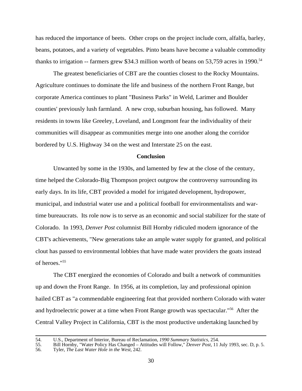has reduced the importance of beets. Other crops on the project include corn, alfalfa, barley, beans, potatoes, and a variety of vegetables. Pinto beans have become a valuable commodity thanks to irrigation -- farmers grew \$34.3 million worth of beans on 53,759 acres in 1990.<sup>54</sup>

The greatest beneficiaries of CBT are the counties closest to the Rocky Mountains. Agriculture continues to dominate the life and business of the northern Front Range, but corporate America continues to plant "Business Parks" in Weld, Larimer and Boulder counties' previously lush farmland. A new crop, suburban housing, has followed. Many residents in towns like Greeley, Loveland, and Longmont fear the individuality of their communities will disappear as communities merge into one another along the corridor bordered by U.S. Highway 34 on the west and Interstate 25 on the east.

#### **Conclusion**

Unwanted by some in the 1930s, and lamented by few at the close of the century, time helped the Colorado-Big Thompson project outgrow the controversy surrounding its early days. In its life, CBT provided a model for irrigated development, hydropower, municipal, and industrial water use and a political football for environmentalists and wartime bureaucrats. Its role now is to serve as an economic and social stabilizer for the state of Colorado. In 1993, *Denver Post* columnist Bill Hornby ridiculed modern ignorance of the CBT's achievements, "New generations take an ample water supply for granted, and political clout has passed to environmental lobbies that have made water providers the goats instead of heroes."55

The CBT energized the economies of Colorado and built a network of communities up and down the Front Range. In 1956, at its completion, lay and professional opinion hailed CBT as "a commendable engineering feat that provided northern Colorado with water and hydroelectric power at a time when Front Range growth was spectacular."56 After the Central Valley Project in California, CBT is the most productive undertaking launched by

<sup>54.</sup> U.S., Department of Interior, Bureau of Reclamation, *1990 Summary Statistics*, 254.

<sup>55.</sup> Bill Hornby, "Water Policy Has Changed – Attitudes will Follow," *Denver Post*, 11 July 1993, sec. D, p. 5.

<sup>56.</sup> Tyler, *The Last Water Hole in the West*, 242.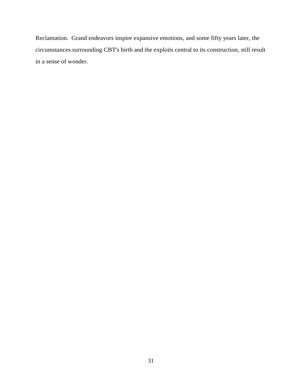Reclamation. Grand endeavors inspire expansive emotions, and some fifty years later, the circumstances surrounding CBT's birth and the exploits central to its construction, still result in a sense of wonder.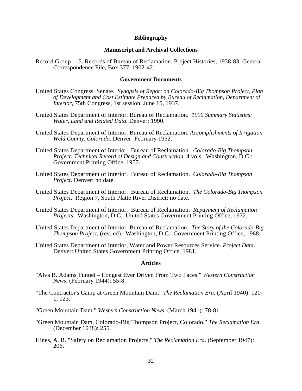## **Bibliography**

### **Manuscript and Archival Collections**

Record Group 115. Records of Bureau of Reclamation. Project Histories, 1938-83. General Correspondence File, Box 377, 1902-42.

## **Government Documents**

- United States Congress. Senate. *Synopsis of Report on Colorado-Big Thompson Project, Plan of Development and Cost Estimate Prepared by Bureau of Reclamation, Department of Interior*, 75th Congress, 1st session, June 15, 1937.
- United States Department of Interior. Bureau of Reclamation. *1990 Summary Statistics: Water, Land and Related Data*. Denver: 1990.
- United States Department of Interior. Bureau of Reclamation. *Accomplishments of Irrigation Weld County, Colorado*. Denver: February 1952.
- United States Department of Interior. Bureau of Reclamation. *Colorado-Big Thompson Project: Technical Record of Design and Construction*. 4 vols. Washington, D.C.: Government Printing Office, 1957.
- United States Department of Interior. Bureau of Reclamation. *Colorado-Big Thompson Project*. Denver: no date.
- United States Department of Interior. Bureau of Reclamation. *The Colorado-Big Thompson Project*. Region 7, South Platte River District: no date.
- United States Department of Interior. Bureau of Reclamation. *Repayment of Reclamation Projects*. Washington, D.C.: United States Government Printing Office, 1972.
- United States Department of Interior. Bureau of Reclamation. *The Story of the Colorado-Big Thompson Project*, (rev. ed). Washington, D.C.: Government Printing Office, 1968.
- United States Department of Interior, Water and Power Resources Service. *Project Data*. Denver: United States Government Printing Office, 1981.

# **Articles**

- "Alva B. Adams Tunnel Longest Ever Driven From Two Faces." *Western Construction News*. (February 1944): 55-8.
- "The Contractor's Camp at Green Mountain Dam." *The Reclamation Era*. (April 1940): 120- 1, 123.
- "Green Mountain Dam." *Western Construction News*. (March 1941): 78-81.
- "Green Mountain Dam, Colorado-Big Thompson Project, Colorado." *The Reclamation Era*. (December 1938): 255.
- Hines, A. R. "Safety on Reclamation Projects." *The Reclamation Era*. (September 1947): 206.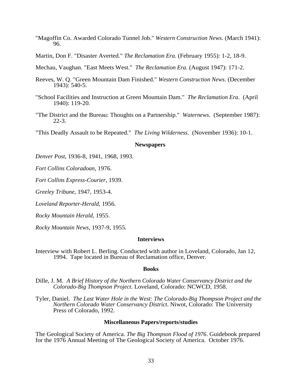- "Magoffin Co. Awarded Colorado Tunnel Job." *Western Construction News*. (March 1941): 96.
- Martin, Don F. "Disaster Averted." *The Reclamation Era*. (February 1955): 1-2, 18-9.

Mechau, Vaughan. "East Meets West." *The Reclamation Era*. (August 1947): 171-2.

- Reeves, W. Q. "Green Mountain Dam Finished." *Western Construction News*. (December 1943): 540-5.
- "School Facilities and Instruction at Green Mountain Dam." *The Reclamation Era*. (April 1940): 119-20.
- "The District and the Bureau: Thoughts on a Partnership." *Waternews*. (September 1987): 22-3.

"This Deadly Assault to be Repeated." *The Living Wilderness*. (November 1936): 10-1.

#### **Newspapers**

*Denver Post*, 1936-8, 1941, 1968, 1993.

*Fort Collins Coloradoan*, 1976.

*Fort Collins Express-Courier*, 1939.

*Greeley Tribune*, 1947, 1953-4.

*Loveland Reporter-Herald*, 1956.

*Rocky Mountain Herald*, 1955.

*Rocky Mountain News*, 1937-9, 1955.

# **Interviews**

Interview with Robert L. Berling. Conducted with author in Loveland, Colorado, Jan 12, 1994. Tape located in Bureau of Reclamation office, Denver.

#### **Books**

- Dille, J. M. *A Brief History of the Northern Colorado Water Conservancy District and the Colorado-Big Thompson Project*. Loveland, Colorado: NCWCD, 1958.
- Tyler, Daniel. *The Last Water Hole in the West: The Colorado-Big Thompson Project and the Northern Colorado Water Conservancy District*. Niwot, Colorado: The University Press of Colorado, 1992.

#### **Miscellaneous Papers/reports/studies**

The Geological Society of America. *The Big Thompson Flood of 1976*. Guidebook prepared for the 1976 Annual Meeting of The Geological Society of America. October 1976.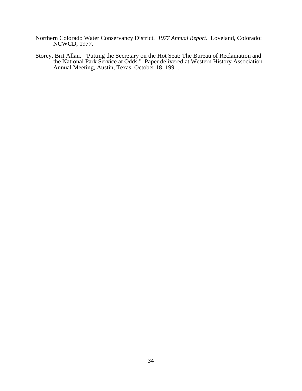- Northern Colorado Water Conservancy District. *1977 Annual Report*. Loveland, Colorado: NCWCD, 1977.
- Storey, Brit Allan. "Putting the Secretary on the Hot Seat: The Bureau of Reclamation and the National Park Service at Odds." Paper delivered at Western History Association Annual Meeting, Austin, Texas. October 18, 1991.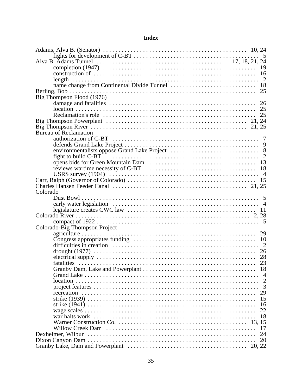# **Index**

| Big Thompson Flood (1976)                                                                                                                                                                                                      |  |    |
|--------------------------------------------------------------------------------------------------------------------------------------------------------------------------------------------------------------------------------|--|----|
|                                                                                                                                                                                                                                |  |    |
|                                                                                                                                                                                                                                |  |    |
|                                                                                                                                                                                                                                |  |    |
|                                                                                                                                                                                                                                |  |    |
|                                                                                                                                                                                                                                |  |    |
|                                                                                                                                                                                                                                |  |    |
| <b>Bureau of Reclamation</b>                                                                                                                                                                                                   |  |    |
|                                                                                                                                                                                                                                |  |    |
|                                                                                                                                                                                                                                |  |    |
|                                                                                                                                                                                                                                |  |    |
|                                                                                                                                                                                                                                |  |    |
|                                                                                                                                                                                                                                |  |    |
|                                                                                                                                                                                                                                |  |    |
|                                                                                                                                                                                                                                |  |    |
|                                                                                                                                                                                                                                |  |    |
|                                                                                                                                                                                                                                |  |    |
| Colorado                                                                                                                                                                                                                       |  |    |
|                                                                                                                                                                                                                                |  |    |
|                                                                                                                                                                                                                                |  |    |
|                                                                                                                                                                                                                                |  |    |
|                                                                                                                                                                                                                                |  |    |
|                                                                                                                                                                                                                                |  |    |
|                                                                                                                                                                                                                                |  |    |
| Colorado-Big Thompson Project                                                                                                                                                                                                  |  |    |
|                                                                                                                                                                                                                                |  |    |
|                                                                                                                                                                                                                                |  |    |
|                                                                                                                                                                                                                                |  |    |
|                                                                                                                                                                                                                                |  |    |
|                                                                                                                                                                                                                                |  |    |
|                                                                                                                                                                                                                                |  |    |
|                                                                                                                                                                                                                                |  | 18 |
|                                                                                                                                                                                                                                |  |    |
|                                                                                                                                                                                                                                |  |    |
|                                                                                                                                                                                                                                |  | 3  |
|                                                                                                                                                                                                                                |  | 29 |
|                                                                                                                                                                                                                                |  | 15 |
|                                                                                                                                                                                                                                |  | 16 |
|                                                                                                                                                                                                                                |  | 22 |
| war halts work in the context of the context of the context of the context of the context of the context of the context of the context of the context of the context of the context of the context of the context of the conte |  | 18 |
|                                                                                                                                                                                                                                |  |    |
|                                                                                                                                                                                                                                |  |    |
|                                                                                                                                                                                                                                |  | 17 |
| Dexheimer, Wilbur                                                                                                                                                                                                              |  | 24 |
|                                                                                                                                                                                                                                |  | 20 |
|                                                                                                                                                                                                                                |  |    |